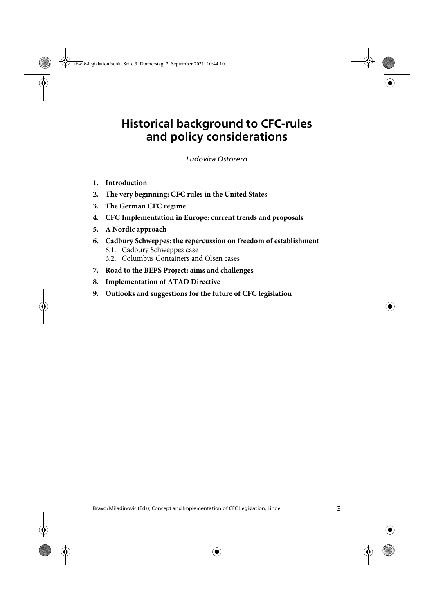## **Historical background to CFC-rules and policy considerations**

Historical background to CFC-rules and policy considerations Ostorero *Ludovica Ostorero*

- **1. Introduction**
- **2. The very beginning: CFC rules in the United States**
- **3. The German CFC regime**
- **4. CFC Implementation in Europe: current trends and proposals**
- **5. A Nordic approach**
- **6. Cadbury Schweppes: the repercussion on freedom of establishment** 6.1. Cadbury Schweppes case 6.2. Columbus Containers and Olsen cases
- **7. Road to the BEPS Project: aims and challenges**
- **8. Implementation of ATAD Directive**
- **9. Outlooks and suggestions for the future of CFC legislation**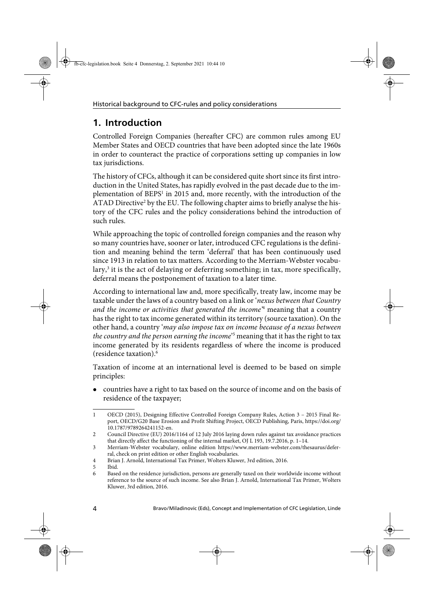## **1. Introduction**

Controlled Foreign Companies (hereafter CFC) are common rules among EU Member States and OECD countries that have been adopted since the late 1960s in order to counteract the practice of corporations setting up companies in low tax jurisdictions.

The history of CFCs, although it can be considered quite short since its first introduction in the United States, has rapidly evolved in the past decade due to the implementation of BEPS<sup>1</sup> in 2015 and, more recently, with the introduction of the ATAD Directive<sup>2</sup> by the EU. The following chapter aims to briefly analyse the history of the CFC rules and the policy considerations behind the introduction of such rules.

While approaching the topic of controlled foreign companies and the reason why so many countries have, sooner or later, introduced CFC regulations is the definition and meaning behind the term 'deferral' that has been continuously used since 1913 in relation to tax matters. According to the Merriam-Webster vocabulary,<sup>3</sup> it is the act of delaying or deferring something; in tax, more specifically, deferral means the postponement of taxation to a later time.

According to international law and, more specifically, treaty law, income may be taxable under the laws of a country based on a link or 'nexus between that Country and the income or activities that generated the income<sup>4</sup> meaning that a country has the right to tax income generated within its territory (source taxation). On the other hand, a country 'may also impose tax on income because of a nexus between the country and the person earning the income<sup>25</sup> meaning that it has the right to tax income generated by its residents regardless of where the income is produced (residence taxation).6

Taxation of income at an international level is deemed to be based on simple principles:

 countries have a right to tax based on the source of income and on the basis of residence of the taxpayer;

<sup>1</sup> OECD (2015), Designing Effective Controlled Foreign Company Rules, Action 3 – 2015 Final Report, OECD/G20 Base Erosion and Profit Shifting Project, OECD Publishing, Paris, https://doi.org/ 10.1787/9789264241152-en.

<sup>2</sup> Council Directive (EU) 2016/1164 of 12 July 2016 laying down rules against tax avoidance practices that directly affect the functioning of the internal market, OJ L 193, 19.7.2016, p. 1–14.

<sup>3</sup> Merriam-Webster vocabulary, online edition https://www.merriam-webster.com/thesaurus/deferral, check on print edition or other English vocabularies.

<sup>4</sup> Brian J. Arnold, International Tax Primer, Wolters Kluwer, 3rd edition, 2016.

<sup>5</sup> Ibid.

<sup>6</sup> Based on the residence jurisdiction, persons are generally taxed on their worldwide income without reference to the source of such income. See also Brian J. Arnold, International Tax Primer, Wolters Kluwer, 3rd edition, 2016.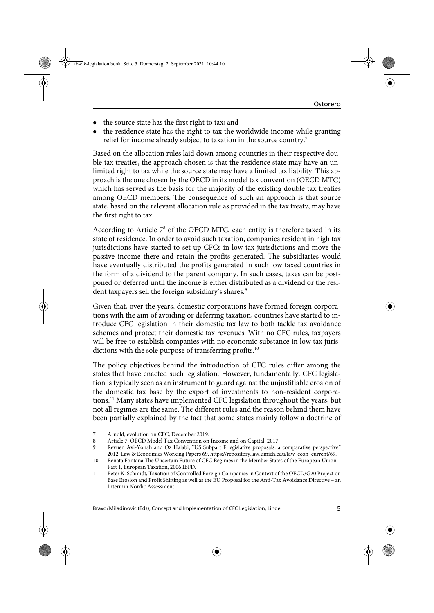- the source state has the first right to tax; and
- the residence state has the right to tax the worldwide income while granting relief for income already subject to taxation in the source country.<sup>7</sup>

Based on the allocation rules laid down among countries in their respective double tax treaties, the approach chosen is that the residence state may have an unlimited right to tax while the source state may have a limited tax liability. This approach is the one chosen by the OECD in its model tax convention (OECD MTC) which has served as the basis for the majority of the existing double tax treaties among OECD members. The consequence of such an approach is that source state, based on the relevant allocation rule as provided in the tax treaty, may have the first right to tax.

According to Article 7<sup>8</sup> of the OECD MTC, each entity is therefore taxed in its state of residence. In order to avoid such taxation, companies resident in high tax jurisdictions have started to set up CFCs in low tax jurisdictions and move the passive income there and retain the profits generated. The subsidiaries would have eventually distributed the profits generated in such low taxed countries in the form of a dividend to the parent company. In such cases, taxes can be postponed or deferred until the income is either distributed as a dividend or the resident taxpayers sell the foreign subsidiary's shares.<sup>9</sup>

Given that, over the years, domestic corporations have formed foreign corporations with the aim of avoiding or deferring taxation, countries have started to introduce CFC legislation in their domestic tax law to both tackle tax avoidance schemes and protect their domestic tax revenues. With no CFC rules, taxpayers will be free to establish companies with no economic substance in low tax jurisdictions with the sole purpose of transferring profits.<sup>10</sup>

The policy objectives behind the introduction of CFC rules differ among the states that have enacted such legislation. However, fundamentally, CFC legislation is typically seen as an instrument to guard against the unjustifiable erosion of the domestic tax base by the export of investments to non-resident corporations.11 Many states have implemented CFC legislation throughout the years, but not all regimes are the same. The different rules and the reason behind them have been partially explained by the fact that some states mainly follow a doctrine of

<sup>7</sup> Arnold, evolution on CFC, December 2019.

<sup>8</sup> Article 7, OECD Model Tax Convention on Income and on Capital, 2017.

<sup>9</sup> Revuen Avi-Yonah and Oz Halabi, "US Subpart F legislative proposals: a comparative perspective" 2012, Law & Economics Working Papers 69. https://repository.law.umich.edu/law\_econ\_current/69.

<sup>10</sup> Renata Fontana The Uncertain Future of CFC Regimes in the Member States of the European Union – Part 1, European Taxation, 2006 IBFD.

<sup>11</sup> Peter K. Schmidt, Taxation of Controlled Foreign Companies in Context of the OECD/G20 Project on Base Erosion and Profit Shifting as well as the EU Proposal for the Anti-Tax Avoidance Directive – an Intermin Nordic Assessment.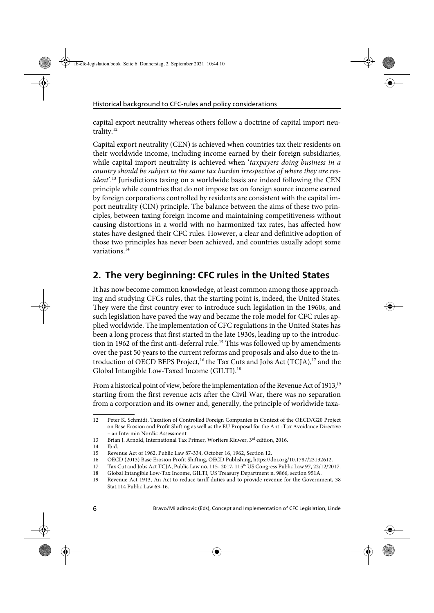capital export neutrality whereas others follow a doctrine of capital import neutrality.<sup>12</sup>

Capital export neutrality (CEN) is achieved when countries tax their residents on their worldwide income, including income earned by their foreign subsidiaries, while capital import neutrality is achieved when 'taxpayers doing business in a country should be subject to the same tax burden irrespective of where they are resident<sup>'.13</sup> Jurisdictions taxing on a worldwide basis are indeed following the CEN principle while countries that do not impose tax on foreign source income earned by foreign corporations controlled by residents are consistent with the capital import neutrality (CIN) principle. The balance between the aims of these two principles, between taxing foreign income and maintaining competitiveness without causing distortions in a world with no harmonized tax rates, has affected how states have designed their CFC rules. However, a clear and definitive adoption of those two principles has never been achieved, and countries usually adopt some variations.<sup>14</sup>

## **2. The very beginning: CFC rules in the United States**

It has now become common knowledge, at least common among those approaching and studying CFCs rules, that the starting point is, indeed, the United States. They were the first country ever to introduce such legislation in the 1960s, and such legislation have paved the way and became the role model for CFC rules applied worldwide. The implementation of CFC regulations in the United States has been a long process that first started in the late 1930s, leading up to the introduction in 1962 of the first anti-deferral rule.<sup>15</sup> This was followed up by amendments over the past 50 years to the current reforms and proposals and also due to the introduction of OECD BEPS Project,<sup>16</sup> the Tax Cuts and Jobs Act (TCJA),<sup>17</sup> and the Global Intangible Low-Taxed Income (GILTI).<sup>18</sup>

From a historical point of view, before the implementation of the Revenue Act of 1913,<sup>19</sup> starting from the first revenue acts after the Civil War, there was no separation from a corporation and its owner and, generally, the principle of worldwide taxa-

<sup>12</sup> Peter K. Schmidt, Taxation of Controlled Foreign Companies in Context of the OECD/G20 Project on Base Erosion and Profit Shifting as well as the EU Proposal for the Anti-Tax Avoidance Directive – an Intermin Nordic Assessment.

<sup>13</sup> Brian J. Arnold, International Tax Primer, Worlters Kluwer, 3rd edition, 2016.

<sup>14</sup> Ibid.

<sup>15</sup> Revenue Act of 1962, Public Law 87-334, October 16, 1962, Section 12.

<sup>16</sup> OECD (2013) Base Erosion Profit Shifting, OECD Publishing, https://doi.org/10.1787/23132612.

<sup>17</sup> Tax Cut and Jobs Act TCJA, Public Law no. 115-2017, 115<sup>th</sup> US Congress Public Law 97, 22/12/2017.<br>18 Global Intangible Low-Tax Income. GILTI. US Treasury Department n. 9866. section 951A.

<sup>18</sup> Global Intangible Low-Tax Income, GILTI, US Treasury Department n. 9866, section 951A.

Revenue Act 1913, An Act to reduce tariff duties and to provide revenue for the Government, 38 Stat.114 Public Law 63-16.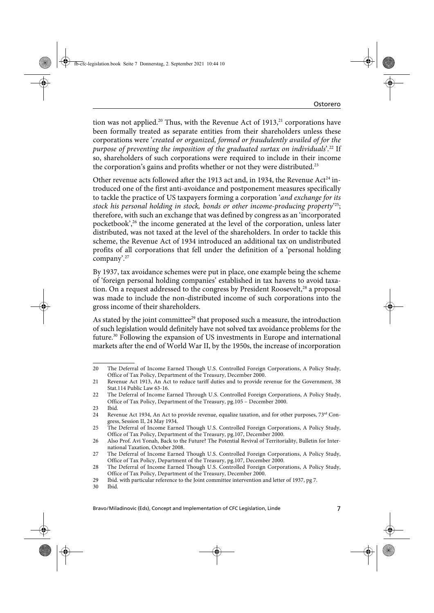tion was not applied.<sup>20</sup> Thus, with the Revenue Act of  $1913$ ,<sup>21</sup> corporations have been formally treated as separate entities from their shareholders unless these corporations were 'created or organized, formed or fraudulently availed of for the purpose of preventing the imposition of the graduated surtax on individuals'. 22 If so, shareholders of such corporations were required to include in their income the corporation's gains and profits whether or not they were distributed.<sup>23</sup>

Other revenue acts followed after the 1913 act and, in 1934, the Revenue Act<sup>24</sup> introduced one of the first anti-avoidance and postponement measures specifically to tackle the practice of US taxpayers forming a corporation 'and exchange for its stock his personal holding in stock, bonds or other income-producing property' 25; therefore, with such an exchange that was defined by congress as an 'incorporated pocketbook',<sup>26</sup> the income generated at the level of the corporation, unless later distributed, was not taxed at the level of the shareholders. In order to tackle this scheme, the Revenue Act of 1934 introduced an additional tax on undistributed profits of all corporations that fell under the definition of a 'personal holding company'.27

By 1937, tax avoidance schemes were put in place, one example being the scheme of 'foreign personal holding companies' established in tax havens to avoid taxation. On a request addressed to the congress by President Roosevelt,<sup>28</sup> a proposal was made to include the non-distributed income of such corporations into the gross income of their shareholders.

As stated by the joint committee<sup>29</sup> that proposed such a measure, the introduction of such legislation would definitely have not solved tax avoidance problems for the future.30 Following the expansion of US investments in Europe and international markets after the end of World War II, by the 1950s, the increase of incorporation

<sup>20</sup> The Deferral of Income Earned Though U.S. Controlled Foreign Corporations, A Policy Study, Office of Tax Policy, Department of the Treasury, December 2000.

<sup>21</sup> Revenue Act 1913, An Act to reduce tariff duties and to provide revenue for the Government, 38 Stat.114 Public Law 63-16.

<sup>22</sup> The Deferral of Income Earned Through U.S. Controlled Foreign Corporations, A Policy Study, Office of Tax Policy, Department of the Treasury, pg.105 – December 2000.

<sup>23</sup> Ibid.

<sup>24</sup> Revenue Act 1934, An Act to provide revenue, equalize taxation, and for other purposes,  $73<sup>rd</sup>$  Congress, Session II, 24 May 1934.

<sup>25</sup> The Deferral of Income Earned Though U.S. Controlled Foreign Corporations, A Policy Study, Office of Tax Policy, Department of the Treasury, pg.107, December 2000.

<sup>26</sup> Also Prof. Avi Yonah, Back to the Future? The Potential Revival of Territoriality, Bulletin for International Taxation, October 2008.

<sup>27</sup> The Deferral of Income Earned Though U.S. Controlled Foreign Corporations, A Policy Study, Office of Tax Policy, Department of the Treasury, pg.107, December 2000.

<sup>28</sup> The Deferral of Income Earned Though U.S. Controlled Foreign Corporations, A Policy Study, Office of Tax Policy, Department of the Treasury, December 2000.

<sup>29</sup> Ibid. with particular reference to the Joint committee intervention and letter of 1937, pg 7.

<sup>30</sup> Ibid.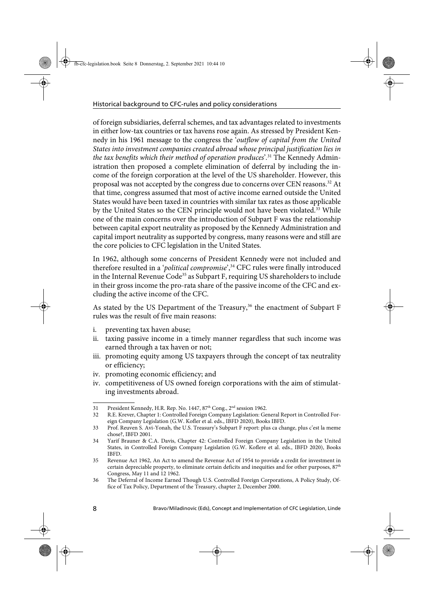of foreign subsidiaries, deferral schemes, and tax advantages related to investments in either low-tax countries or tax havens rose again. As stressed by President Kennedy in his 1961 message to the congress the 'outflow of capital from the United States into investment companies created abroad whose principal justification lies in the tax benefits which their method of operation produces'.<sup>31</sup> The Kennedy Administration then proposed a complete elimination of deferral by including the income of the foreign corporation at the level of the US shareholder. However, this proposal was not accepted by the congress due to concerns over CEN reasons.<sup>32</sup> At that time, congress assumed that most of active income earned outside the United States would have been taxed in countries with similar tax rates as those applicable by the United States so the CEN principle would not have been violated.<sup>33</sup> While one of the main concerns over the introduction of Subpart F was the relationship between capital export neutrality as proposed by the Kennedy Administration and capital import neutrality as supported by congress, many reasons were and still are the core policies to CFC legislation in the United States.

In 1962, although some concerns of President Kennedy were not included and therefore resulted in a 'political compromise',<sup>34</sup> CFC rules were finally introduced in the Internal Revenue Code<sup>35</sup> as Subpart F, requiring US shareholders to include in their gross income the pro-rata share of the passive income of the CFC and excluding the active income of the CFC.

As stated by the US Department of the Treasury,<sup>36</sup> the enactment of Subpart F rules was the result of five main reasons:

- i. preventing tax haven abuse;
- ii. taxing passive income in a timely manner regardless that such income was earned through a tax haven or not;
- iii. promoting equity among US taxpayers through the concept of tax neutrality or efficiency;
- iv. promoting economic efficiency; and
- iv. competitiveness of US owned foreign corporations with the aim of stimulating investments abroad.

<sup>31</sup> President Kennedy, H.R. Rep. No. 1447, 87<sup>th</sup> Cong., 2<sup>nd</sup> session 1962.

<sup>32</sup> R.E. Krever, Chapter 1: Controlled Foreign Company Legislation: General Report in Controlled Foreign Company Legislation (G.W. Kofler et al. eds., IBFD 2020), Books IBFD.

<sup>33</sup> Prof. Reuven S. Avi-Yonah, the U.S. Treasury's Subpart F report: plus ca change, plus c'est la meme chose?, IBFD 2001.

<sup>34</sup> Yarif Brauner & C.A. Davis, Chapter 42: Controlled Foreign Company Legislation in the United States, in Controlled Foreign Company Legislation (G.W. Koflere et al. eds., IBFD 2020), Books IBFD.

<sup>35</sup> Revenue Act 1962, An Act to amend the Revenue Act of 1954 to provide a credit for investment in certain depreciable property, to eliminate certain deficits and inequities and for other purposes,  $87<sup>th</sup>$ Congress, May 11 and 12 1962.

<sup>36</sup> The Deferral of Income Earned Though U.S. Controlled Foreign Corporations, A Policy Study, Office of Tax Policy, Department of the Treasury, chapter 2, December 2000.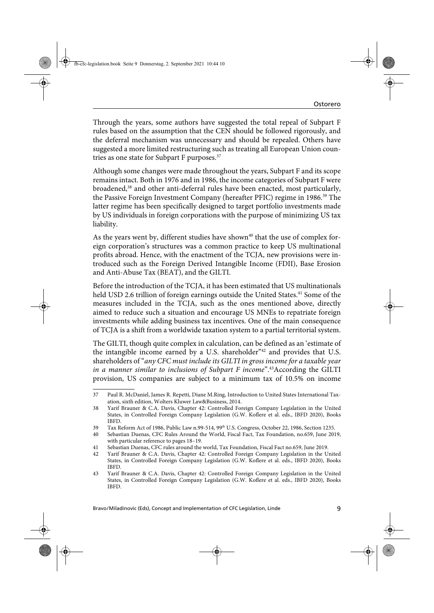Through the years, some authors have suggested the total repeal of Subpart F rules based on the assumption that the CEN should be followed rigorously, and the deferral mechanism was unnecessary and should be repealed. Others have suggested a more limited restructuring such as treating all European Union countries as one state for Subpart F purposes.<sup>37</sup>

Although some changes were made throughout the years, Subpart F and its scope remains intact. Both in 1976 and in 1986, the income categories of Subpart F were broadened,<sup>38</sup> and other anti-deferral rules have been enacted, most particularly, the Passive Foreign Investment Company (hereafter PFIC) regime in 1986.39 The latter regime has been specifically designed to target portfolio investments made by US individuals in foreign corporations with the purpose of minimizing US tax liability.

As the years went by, different studies have shown<sup>40</sup> that the use of complex foreign corporation's structures was a common practice to keep US multinational profits abroad. Hence, with the enactment of the TCJA, new provisions were introduced such as the Foreign Derived Intangible Income (FDII), Base Erosion and Anti-Abuse Tax (BEAT), and the GILTI.

Before the introduction of the TCJA, it has been estimated that US multinationals held USD 2.6 trillion of foreign earnings outside the United States.<sup>41</sup> Some of the measures included in the TCJA, such as the ones mentioned above, directly aimed to reduce such a situation and encourage US MNEs to repatriate foreign investments while adding business tax incentives. One of the main consequence of TCJA is a shift from a worldwide taxation system to a partial territorial system.

The GILTI, though quite complex in calculation, can be defined as an 'estimate of the intangible income earned by a U.S. shareholder"<sup>42</sup> and provides that U.S. shareholders of "any CFC must include its GILTI in gross income for a taxable year in a manner similar to inclusions of Subpart F income".<sup>43</sup>According the GILTI provision, US companies are subject to a minimum tax of 10.5% on income

<sup>37</sup> Paul R. McDaniel, James R. Repetti, Diane M.Ring, Introduction to United States International Taxation, sixth edition, Wolters Kluwer Law&Business, 2014.

<sup>38</sup> Yarif Brauner & C.A. Davis, Chapter 42: Controlled Foreign Company Legislation in the United States, in Controlled Foreign Company Legislation (G.W. Koflere et al. eds., IBFD 2020), Books IBFD.

<sup>39</sup> Tax Reform Act of 1986, Public Law n.99-514, 99<sup>th</sup> U.S. Congress, October 22, 1986, Section 1235.

<sup>40</sup> Sebastian Duenas, CFC Rules Around the World, Fiscal Fact, Tax Foundation, no.659, June 2019, with particular reference to pages 18–19.

<sup>41</sup> Sebastian Duenas, CFC rules around the world, Tax Foundation, Fiscal Fact no.659, June 2019.

<sup>42</sup> Yarif Brauner & C.A. Davis, Chapter 42: Controlled Foreign Company Legislation in the United States, in Controlled Foreign Company Legislation (G.W. Koflere et al. eds., IBFD 2020), Books IBFD.

<sup>43</sup> Yarif Brauner & C.A. Davis, Chapter 42: Controlled Foreign Company Legislation in the United States, in Controlled Foreign Company Legislation (G.W. Koflere et al. eds., IBFD 2020), Books IBFD.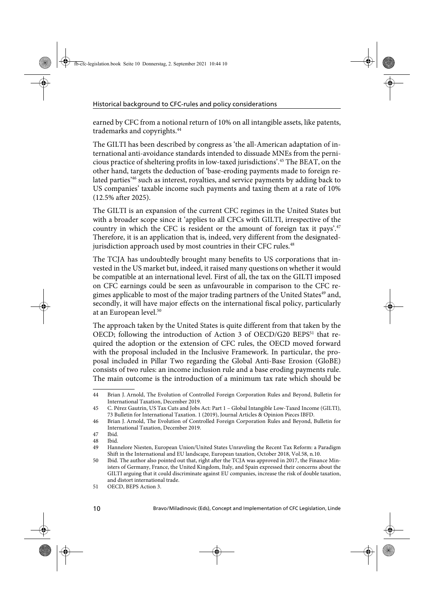earned by CFC from a notional return of 10% on all intangible assets, like patents, trademarks and copyrights.<sup>44</sup>

The GILTI has been described by congress as 'the all-American adaptation of international anti-avoidance standards intended to dissuade MNEs from the pernicious practice of sheltering profits in low-taxed jurisdictions'.45 The BEAT, on the other hand, targets the deduction of 'base-eroding payments made to foreign related parties<sup>46</sup> such as interest, royalties, and service payments by adding back to US companies' taxable income such payments and taxing them at a rate of 10% (12.5% after 2025).

The GILTI is an expansion of the current CFC regimes in the United States but with a broader scope since it 'applies to all CFCs with GILTI, irrespective of the country in which the CFC is resident or the amount of foreign tax it pays'.<sup>47</sup> Therefore, it is an application that is, indeed, very different from the designatedjurisdiction approach used by most countries in their CFC rules.<sup>48</sup>

The TCJA has undoubtedly brought many benefits to US corporations that invested in the US market but, indeed, it raised many questions on whether it would be compatible at an international level. First of all, the tax on the GILTI imposed on CFC earnings could be seen as unfavourable in comparison to the CFC regimes applicable to most of the major trading partners of the United States<sup>49</sup> and, secondly, it will have major effects on the international fiscal policy, particularly at an European level.<sup>50</sup>

The approach taken by the United States is quite different from that taken by the OECD; following the introduction of Action 3 of OECD/G20 BEPS<sup>51</sup> that required the adoption or the extension of CFC rules, the OECD moved forward with the proposal included in the Inclusive Framework. In particular, the proposal included in Pillar Two regarding the Global Anti-Base Erosion (GloBE) consists of two rules: an income inclusion rule and a base eroding payments rule. The main outcome is the introduction of a minimum tax rate which should be

<sup>44</sup> Brian J. Arnold, The Evolution of Controlled Foreign Corporation Rules and Beyond, Bulletin for International Taxation, December 2019.

<sup>45</sup> C. Pérez Gautrin, US Tax Cuts and Jobs Act: Part 1 – Global Intangible Low-Taxed Income (GILTI), 73 Bulletin for International Taxation. 1 (2019), Journal Articles & Opinion Pieces IBFD.

<sup>46</sup> Brian J. Arnold, The Evolution of Controlled Foreign Corporation Rules and Beyond, Bulletin for International Taxation, December 2019.

<sup>47</sup> Ibid.

<sup>48</sup> Ibid.

<sup>49</sup> Hannelore Niesten, European Union/United States Unraveling the Recent Tax Reform: a Paradigm Shift in the International and EU landscape, European taxation, October 2018, Vol.58, n.10.

<sup>50</sup> Ibid. The author also pointed out that, right after the TCJA was approved in 2017, the Finance Ministers of Germany, France, the United Kingdom, Italy, and Spain expressed their concerns about the GILTI arguing that it could discriminate against EU companies, increase the risk of double taxation, and distort international trade.

<sup>51</sup> OECD, BEPS Action 3.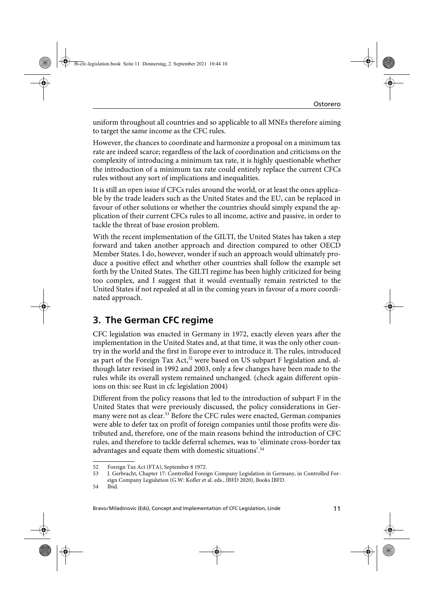uniform throughout all countries and so applicable to all MNEs therefore aiming to target the same income as the CFC rules.

However, the chances to coordinate and harmonize a proposal on a minimum tax rate are indeed scarce; regardless of the lack of coordination and criticisms on the complexity of introducing a minimum tax rate, it is highly questionable whether the introduction of a minimum tax rate could entirely replace the current CFCs rules without any sort of implications and inequalities.

It is still an open issue if CFCs rules around the world, or at least the ones applicable by the trade leaders such as the United States and the EU, can be replaced in favour of other solutions or whether the countries should simply expand the application of their current CFCs rules to all income, active and passive, in order to tackle the threat of base erosion problem.

With the recent implementation of the GILTI, the United States has taken a step forward and taken another approach and direction compared to other OECD Member States. I do, however, wonder if such an approach would ultimately produce a positive effect and whether other countries shall follow the example set forth by the United States. The GILTI regime has been highly criticized for being too complex, and I suggest that it would eventually remain restricted to the United States if not repealed at all in the coming years in favour of a more coordinated approach.

## **3. The German CFC regime**

CFC legislation was enacted in Germany in 1972, exactly eleven years after the implementation in the United States and, at that time, it was the only other country in the world and the first in Europe ever to introduce it. The rules, introduced as part of the Foreign Tax Act,<sup>52</sup> were based on US subpart F legislation and, although later revised in 1992 and 2003, only a few changes have been made to the rules while its overall system remained unchanged. (check again different opinions on this: see Rust in cfc legislation 2004)

Different from the policy reasons that led to the introduction of subpart F in the United States that were previously discussed, the policy considerations in Germany were not as clear.<sup>53</sup> Before the CFC rules were enacted, German companies were able to defer tax on profit of foreign companies until those profits were distributed and, therefore, one of the main reasons behind the introduction of CFC rules, and therefore to tackle deferral schemes, was to 'eliminate cross-border tax advantages and equate them with domestic situations'.54

<sup>52</sup> Foreign Tax Act (FTA), September 8 1972.

<sup>53</sup> J. Gerbracht, Chapter 17: Controlled Foreign Company Legislation in Germany, in Controlled Foreign Company Legislation (G.W: Kofler et al. eds., IBFD 2020), Books IBFD.

<sup>54</sup> Ibid.